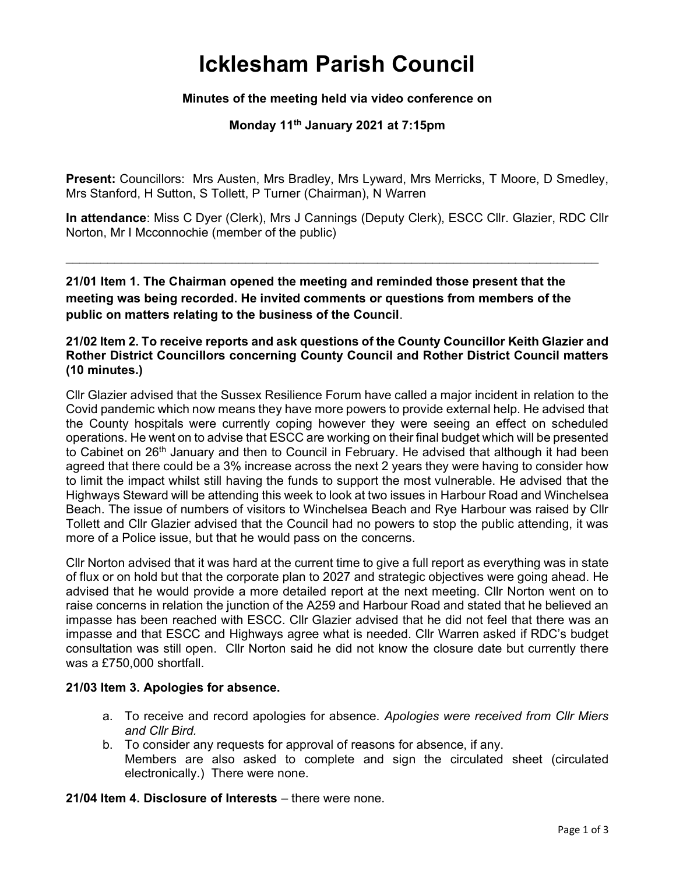# Icklesham Parish Council

### Minutes of the meeting held via video conference on

## Monday 11<sup>th</sup> January 2021 at 7:15pm

Present: Councillors: Mrs Austen, Mrs Bradley, Mrs Lyward, Mrs Merricks, T Moore, D Smedley, Mrs Stanford, H Sutton, S Tollett, P Turner (Chairman), N Warren

In attendance: Miss C Dyer (Clerk), Mrs J Cannings (Deputy Clerk), ESCC Cllr. Glazier, RDC Cllr Norton, Mr I Mcconnochie (member of the public)

 $\mathcal{L}_\text{max} = \frac{1}{2} \sum_{i=1}^{n} \frac{1}{2} \sum_{i=1}^{n} \frac{1}{2} \sum_{i=1}^{n} \frac{1}{2} \sum_{i=1}^{n} \frac{1}{2} \sum_{i=1}^{n} \frac{1}{2} \sum_{i=1}^{n} \frac{1}{2} \sum_{i=1}^{n} \frac{1}{2} \sum_{i=1}^{n} \frac{1}{2} \sum_{i=1}^{n} \frac{1}{2} \sum_{i=1}^{n} \frac{1}{2} \sum_{i=1}^{n} \frac{1}{2} \sum_{i=1}^{n} \frac{1$ 

21/01 Item 1. The Chairman opened the meeting and reminded those present that the meeting was being recorded. He invited comments or questions from members of the public on matters relating to the business of the Council.

#### 21/02 Item 2. To receive reports and ask questions of the County Councillor Keith Glazier and Rother District Councillors concerning County Council and Rother District Council matters (10 minutes.)

Cllr Glazier advised that the Sussex Resilience Forum have called a major incident in relation to the Covid pandemic which now means they have more powers to provide external help. He advised that the County hospitals were currently coping however they were seeing an effect on scheduled operations. He went on to advise that ESCC are working on their final budget which will be presented to Cabinet on 26<sup>th</sup> January and then to Council in February. He advised that although it had been agreed that there could be a 3% increase across the next 2 years they were having to consider how to limit the impact whilst still having the funds to support the most vulnerable. He advised that the Highways Steward will be attending this week to look at two issues in Harbour Road and Winchelsea Beach. The issue of numbers of visitors to Winchelsea Beach and Rye Harbour was raised by Cllr Tollett and Cllr Glazier advised that the Council had no powers to stop the public attending, it was more of a Police issue, but that he would pass on the concerns.

Cllr Norton advised that it was hard at the current time to give a full report as everything was in state of flux or on hold but that the corporate plan to 2027 and strategic objectives were going ahead. He advised that he would provide a more detailed report at the next meeting. Cllr Norton went on to raise concerns in relation the junction of the A259 and Harbour Road and stated that he believed an impasse has been reached with ESCC. Cllr Glazier advised that he did not feel that there was an impasse and that ESCC and Highways agree what is needed. Cllr Warren asked if RDC's budget consultation was still open. Cllr Norton said he did not know the closure date but currently there was a £750,000 shortfall.

#### 21/03 Item 3. Apologies for absence.

- a. To receive and record apologies for absence. Apologies were received from Cllr Miers and Cllr Bird.
- b. To consider any requests for approval of reasons for absence, if any. Members are also asked to complete and sign the circulated sheet (circulated electronically.) There were none.

21/04 Item 4. Disclosure of Interests – there were none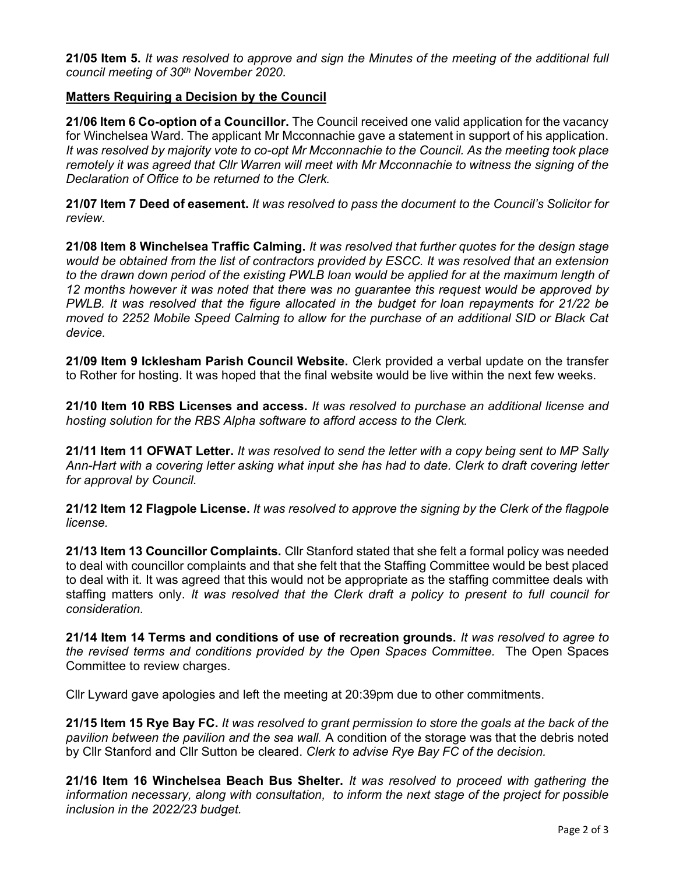21/05 Item 5. It was resolved to approve and sign the Minutes of the meeting of the additional full council meeting of 30<sup>th</sup> November 2020.

#### Matters Requiring a Decision by the Council

21/06 Item 6 Co-option of a Councillor. The Council received one valid application for the vacancy for Winchelsea Ward. The applicant Mr Mcconnachie gave a statement in support of his application. It was resolved by majority vote to co-opt Mr Mcconnachie to the Council. As the meeting took place remotely it was agreed that Cllr Warren will meet with Mr Mcconnachie to witness the signing of the Declaration of Office to be returned to the Clerk.

21/07 Item 7 Deed of easement. It was resolved to pass the document to the Council's Solicitor for review.

21/08 Item 8 Winchelsea Traffic Calming. It was resolved that further quotes for the design stage would be obtained from the list of contractors provided by ESCC. It was resolved that an extension to the drawn down period of the existing PWLB loan would be applied for at the maximum length of 12 months however it was noted that there was no guarantee this request would be approved by PWLB. It was resolved that the figure allocated in the budget for loan repayments for 21/22 be moved to 2252 Mobile Speed Calming to allow for the purchase of an additional SID or Black Cat device.

21/09 Item 9 Icklesham Parish Council Website. Clerk provided a verbal update on the transfer to Rother for hosting. It was hoped that the final website would be live within the next few weeks.

21/10 Item 10 RBS Licenses and access. It was resolved to purchase an additional license and hosting solution for the RBS Alpha software to afford access to the Clerk.

21/11 Item 11 OFWAT Letter. It was resolved to send the letter with a copy being sent to MP Sally Ann-Hart with a covering letter asking what input she has had to date. Clerk to draft covering letter for approval by Council.

21/12 Item 12 Flagpole License. It was resolved to approve the signing by the Clerk of the flagpole license.

21/13 Item 13 Councillor Complaints. Cllr Stanford stated that she felt a formal policy was needed to deal with councillor complaints and that she felt that the Staffing Committee would be best placed to deal with it. It was agreed that this would not be appropriate as the staffing committee deals with staffing matters only. It was resolved that the Clerk draft a policy to present to full council for consideration.

21/14 Item 14 Terms and conditions of use of recreation grounds. It was resolved to agree to the revised terms and conditions provided by the Open Spaces Committee. The Open Spaces Committee to review charges.

Cllr Lyward gave apologies and left the meeting at 20:39pm due to other commitments.

21/15 Item 15 Rye Bay FC. It was resolved to grant permission to store the goals at the back of the pavilion between the pavilion and the sea wall. A condition of the storage was that the debris noted by Cllr Stanford and Cllr Sutton be cleared. Clerk to advise Rye Bay FC of the decision.

21/16 Item 16 Winchelsea Beach Bus Shelter. It was resolved to proceed with gathering the information necessary, along with consultation, to inform the next stage of the project for possible inclusion in the 2022/23 budget.